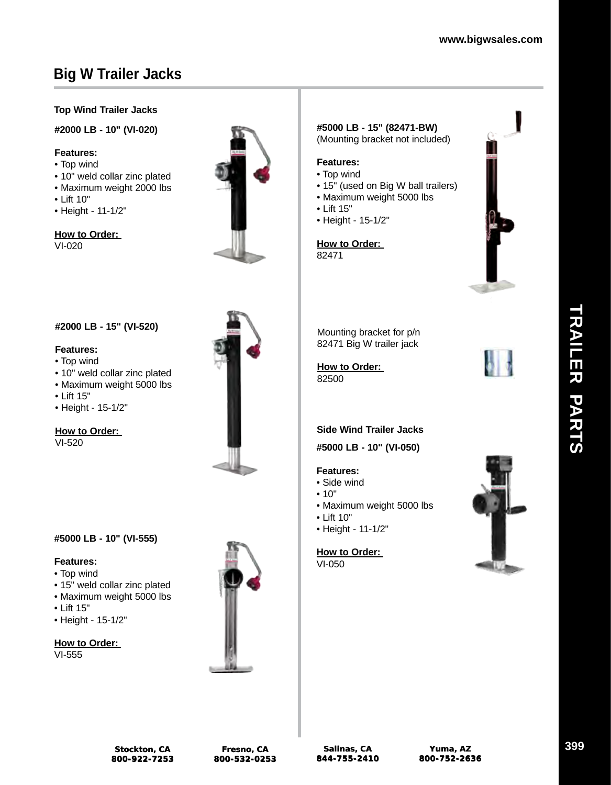## **Top Wind Trailer Jacks**

### **#2000 LB - 10" (VI-020)**

### **Features:**

- Top wind
- 10" weld collar zinc plated
- Maximum weight 2000 lbs

**#2000 LB - 15" (VI-520)**

• 10" weld collar zinc plated • Maximum weight 5000 lbs

- Lift 10"
- Height 11-1/2"

## **How to Order:**

VI-020

**Features:** • Top wind

• Lift 15"

VI-520

• Height - 15-1/2"

**How to Order:** 



### **#5000 LB - 15" (82471-BW)** (Mounting bracket not included)

### **Features:**

- Top wind
- 15" (used on Big W ball trailers)
- Maximum weight 5000 lbs
- Lift 15"
- Height 15-1/2"

**How to Order:**  82471



Mounting bracket for p/n 82471 Big W trailer jack

**How to Order:**  82500



### **Side Wind Trailer Jacks**

**#5000 LB - 10" (VI-050)**

### **Features:**

- Side wind
- 10"
- Maximum weight 5000 lbs
- Lift 10"
- Height 11-1/2"

### **How to Order:**

VI-050



### **#5000 LB - 10" (VI-555)**

### **Features:**

- Top wind
- 15" weld collar zinc plated
- Maximum weight 5000 lbs
- Lift 15"
- Height 15-1/2"

# **How to Order:**

VI-555

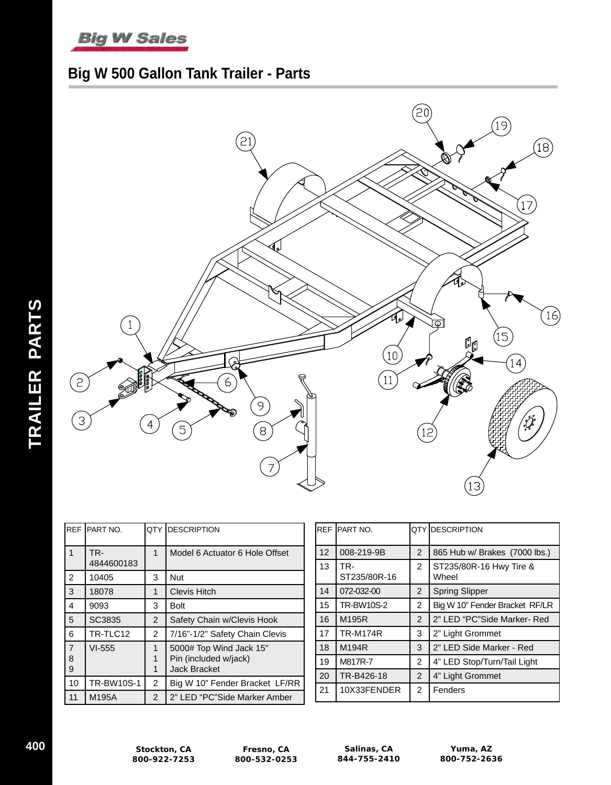# **Big W Sales**

# **Big W 500 Gallon Tank Trailer - Parts**



|                          | REF PART NO.      | <b>OTY</b>     | <b>IDESCRIPTION</b>                                                     |
|--------------------------|-------------------|----------------|-------------------------------------------------------------------------|
| $\mathbf{1}$             | TR-<br>4844600183 | 1              | Model 6 Actuator 6 Hole Offset                                          |
| $\overline{2}$           | 10405             | 3              | Nut                                                                     |
| 3                        | 18078             | 1              | <b>Clevis Hitch</b>                                                     |
| 4                        | 9093              | 3              | Bolt                                                                    |
| 5                        | <b>SC3835</b>     | 2              | Safety Chain w/Clevis Hook                                              |
| 6                        | TR-TLC12          | $\overline{2}$ | 7/16"-1/2" Safety Chain Clevis                                          |
| $\overline{7}$<br>8<br>9 | $VI-555$          | 1<br>1<br>1    | 5000# Top Wind Jack 15"<br>Pin (included w/jack)<br><b>Jack Bracket</b> |
| 10                       | <b>TR-BW10S-1</b> | $\overline{2}$ | Big W 10" Fender Bracket LF/RR                                          |
| 11                       | M195A             | 2              | 2" LED "PC"Side Marker Amber                                            |

|                 | REF PART NO.        |                | OTY IDESCRIPTION                 |  |  |
|-----------------|---------------------|----------------|----------------------------------|--|--|
| 12 <sup>2</sup> | 008-219-9B          | $\overline{2}$ | 865 Hub w/ Brakes (7000 lbs.)    |  |  |
| 13              | TR-<br>ST235/80R-16 | $\overline{2}$ | ST235/80R-16 Hwy Tire &<br>Wheel |  |  |
| 14              | 072-032-00          | $\overline{2}$ | <b>Spring Slipper</b>            |  |  |
| 15              | <b>TR-BW10S-2</b>   | $\overline{2}$ | Big W 10" Fender Bracket RF/LR   |  |  |
| 16              | M195R               | $\overline{2}$ | 2" LED "PC"Side Marker- Red      |  |  |
| 17              | <b>TR-M174R</b>     | 3              | 2" Light Grommet                 |  |  |
| 18              | M194R               | 3              | 2" LED Side Marker - Red         |  |  |
| 19              | M817R-7             | $\overline{2}$ | 4" LED Stop/Turn/Tail Light      |  |  |
| 20              | TR-B426-18          | $\overline{2}$ | 4" Light Grommet                 |  |  |
| 21              | 10X33FENDER         | 2              | Fenders                          |  |  |

**TRAILER PARTS**

TRAILER PARTS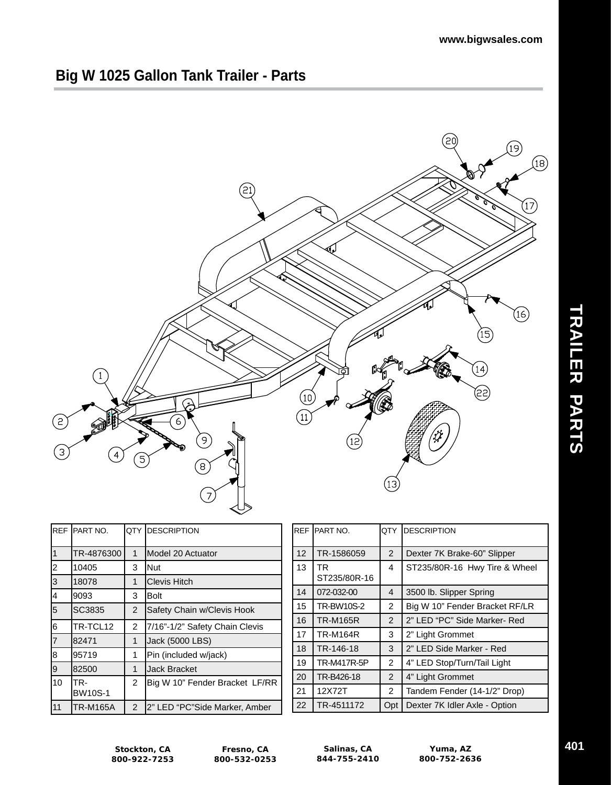# **Big W 1025 Gallon Tank Trailer - Parts**



|                | REF PART NO.          |                | QTY DESCRIPTION                |  |
|----------------|-----------------------|----------------|--------------------------------|--|
| $\overline{1}$ | TR-4876300            | $\mathbf 1$    | Model 20 Actuator              |  |
| $\overline{c}$ | 10405                 | 3              | Nut                            |  |
| 3              | 18078                 | 1              | <b>Clevis Hitch</b>            |  |
| 4              | 9093                  | 3              | Bolt                           |  |
| 5              | SC3835                | 2              | Safety Chain w/Clevis Hook     |  |
| 6              | TR-TCL12              | $\overline{2}$ | 7/16"-1/2" Safety Chain Clevis |  |
| $\overline{7}$ | 82471                 | 1              | Jack (5000 LBS)                |  |
| 8              | 95719                 | 1              | Pin (included w/jack)          |  |
| 9              | 82500                 | 1              | <b>Jack Bracket</b>            |  |
| 10             | TR-<br><b>BW10S-1</b> | $\mathcal{P}$  | Big W 10" Fender Bracket LF/RR |  |
| 11             | TR-M165A              | $\overline{2}$ | 2" LED "PC"Side Marker, Amber  |  |

|                 | <b>REF PART NO.</b> | <b>IDESCRIPTION</b><br>OTY. |                                |
|-----------------|---------------------|-----------------------------|--------------------------------|
| 12 <sup>2</sup> | TR-1586059          | 2                           | Dexter 7K Brake-60" Slipper    |
| 13              | TR.<br>ST235/80R-16 | 4                           | ST235/80R-16 Hwy Tire & Wheel  |
| 14              | 072-032-00          | 4                           | 3500 lb. Slipper Spring        |
| 15              | <b>TR-BW10S-2</b>   | $\overline{2}$              | Big W 10" Fender Bracket RF/LR |
| 16              | <b>TR-M165R</b>     | $\overline{2}$              | 2" LED "PC" Side Marker- Red   |
| 17              | <b>TR-M164R</b>     | 3                           | 2" Light Grommet               |
| 18              | TR-146-18           | 3                           | 2" LED Side Marker - Red       |
| 19              | TR-M417R-5P         | $\overline{2}$              | 4" LED Stop/Turn/Tail Light    |
| 20              | TR-B426-18          | $\overline{2}$              | 4" Light Grommet               |
| 21              | 12X72T              | $\overline{2}$              | Tandem Fender (14-1/2" Drop)   |
| 22              | TR-4511172          | Opt                         | Dexter 7K Idler Axle - Option  |

**Stockton, CA 800-922-7253**

**Fresno, CA 800-532-0253**

**Salinas, CA 844-755-2410**

**Yuma, AZ 800-752-2636** **TRAILER PARTS**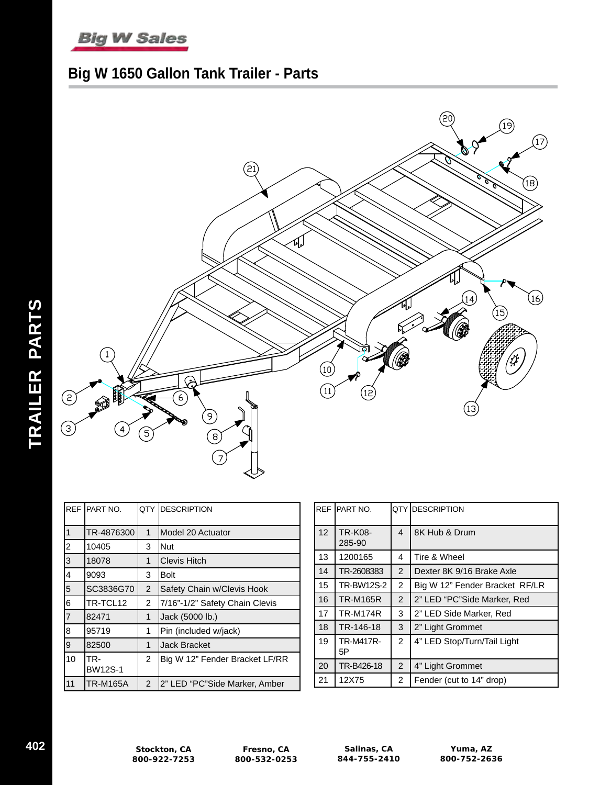

# **Big W 1650 Gallon Tank Trailer - Parts**



| <b>RFF</b>     | PART NO.              |                | QTY DESCRIPTION                |
|----------------|-----------------------|----------------|--------------------------------|
| 1              | TR-4876300            | 1              | Model 20 Actuator              |
| 2              | 10405                 | 3              | <b>Nut</b>                     |
| 3              | 18078                 | 1              | <b>Clevis Hitch</b>            |
| 4              | 9093                  | 3              | Bolt                           |
| 5              | SC3836G70             | $\overline{2}$ | Safety Chain w/Clevis Hook     |
| 6              | TR-TCL12              | 2              | 7/16"-1/2" Safety Chain Clevis |
| $\overline{7}$ | 82471                 | 1              | Jack (5000 lb.)                |
| 8              | 95719                 | 1              | Pin (included w/jack)          |
| 9              | 82500                 | 1              | Jack Bracket                   |
| 10             | TR-<br><b>BW12S-1</b> | $\overline{2}$ | Big W 12" Fender Bracket LF/RR |
| 11             | <b>TR-M165A</b>       | $\overline{2}$ | 2" LED "PC"Side Marker, Amber  |

| <b>REF</b>      | <b>IPART NO.</b>  |                | QTY DESCRIPTION                |
|-----------------|-------------------|----------------|--------------------------------|
| 12 <sup>2</sup> | TR-K08-<br>285-90 | 4              | 8K Hub & Drum                  |
| 13              | 1200165           | 4              | Tire & Wheel                   |
| 14              | TR-2608383        | $\overline{2}$ | Dexter 8K 9/16 Brake Axle      |
| 15              | <b>TR-BW12S-2</b> | 2              | Big W 12" Fender Bracket RF/LR |
| 16              | <b>TR-M165R</b>   | $\overline{2}$ | 2" LED "PC"Side Marker, Red    |
| 17              | <b>TR-M174R</b>   | 3              | 2" LED Side Marker, Red        |
| 18              | TR-146-18         | 3              | 2" Light Grommet               |
| 19              | TR-M417R-<br>5Р   | $\overline{2}$ | 4" LED Stop/Turn/Tail Light    |
| 20              | TR-B426-18        | $\overline{2}$ | 4" Light Grommet               |
| 21              | 12X75             | $\overline{2}$ | Fender (cut to 14" drop)       |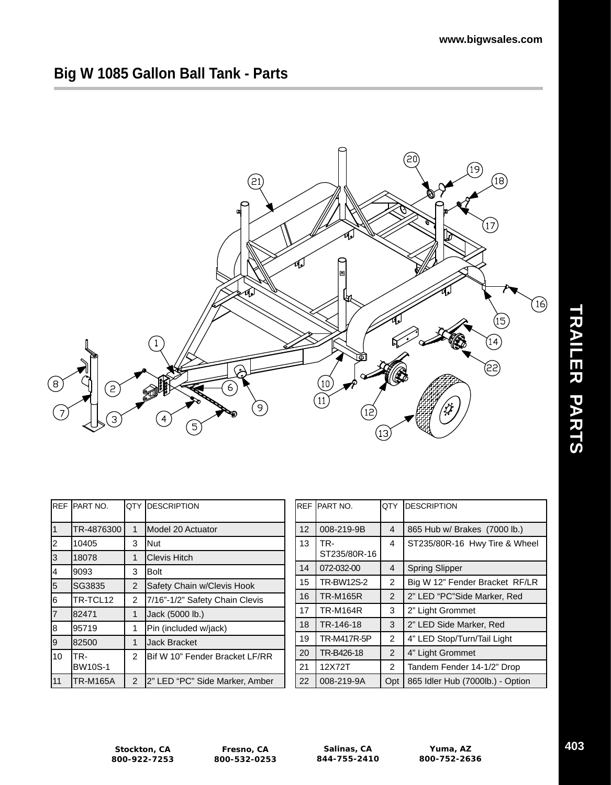# **Big W 1085 Gallon Ball Tank - Parts**



|    | REF PART NO.    | QTY            | <b>IDESCRIPTION</b>                    |    | REF IPART NO.   | IQTY           | <b>IDESCRIPTION</b>              |
|----|-----------------|----------------|----------------------------------------|----|-----------------|----------------|----------------------------------|
| l1 | TR-4876300      |                | Model 20 Actuator                      | 12 | 008-219-9B      | 4              | 865 Hub w/ Brakes (7000 lb.)     |
| l2 | 10405           | 3              | <b>INut</b>                            | 13 | TR-             | 4              | ST235/80R-16 Hwy Tire & Wheel    |
| 3  | 18078           |                | Clevis Hitch                           |    | ST235/80R-16    |                |                                  |
| l4 | 19093           | 3              | <b>Bolt</b>                            | 14 | 072-032-00      | $\overline{4}$ | <b>Spring Slipper</b>            |
| 5  | ISG3835         | $\overline{2}$ | Safety Chain w/Clevis Hook             | 15 | TR-BW12S-2      | 2              | Big W 12" Fender Bracket RF/LR   |
| l6 | TR-TCL12        | 2              | 7/16"-1/2" Safety Chain Clevis         | 16 | <b>TR-M165R</b> | 2              | 2" LED "PC"Side Marker, Red      |
| 17 | 182471          |                | Jack (5000 lb.)                        | 17 | <b>TR-M164R</b> | 3              | 2" Light Grommet                 |
| l8 | 95719           |                | Pin (included w/jack)                  | 18 | TR-146-18       | 3              | 2" LED Side Marker, Red          |
| l9 | 182500          |                | <b>Jack Bracket</b>                    | 19 | TR-M417R-5P     | 2              | 4" LED Stop/Turn/Tail Light      |
| 10 | TR-             | 2              | <b>IBif W 10" Fender Bracket LF/RR</b> | 20 | TR-B426-18      | 2              | 4" Light Grommet                 |
|    | <b>BW10S-1</b>  |                |                                        | 21 | 12X72T          | $\overline{2}$ | Tandem Fender 14-1/2" Drop       |
| 11 | <b>TR-M165A</b> | $\overline{2}$ | 2" LED "PC" Side Marker, Amber         | 22 | 008-219-9A      | Opt            | 865 Idler Hub (7000lb.) - Option |

**Stockton, CA 800-922-7253**

**Fresno, CA 800-532-0253**

**Salinas, CA 844-755-2410**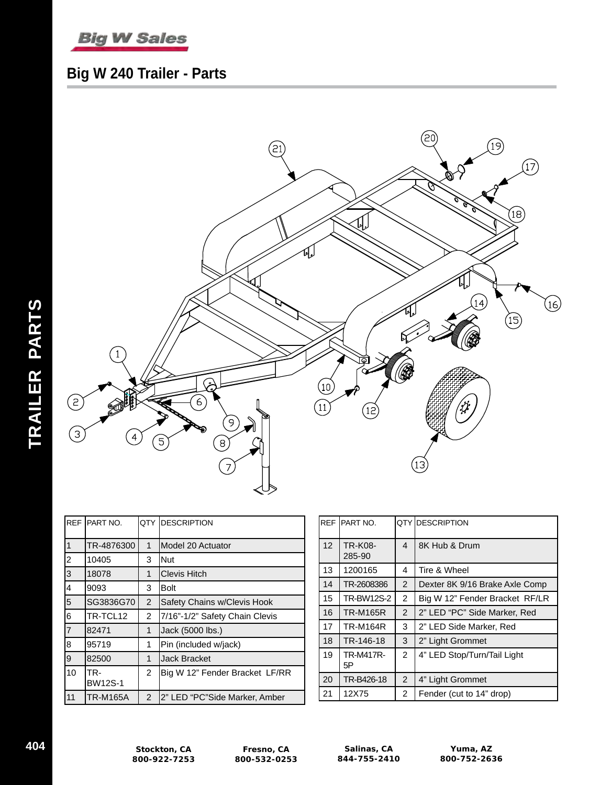

# **Big W 240 Trailer - Parts**



| <b>REF</b>     | <b>IPART NO.</b>      | QTY            | <b>IDESCRIPTION</b>            |  |
|----------------|-----------------------|----------------|--------------------------------|--|
| 1              | TR-4876300            | 1              | Model 20 Actuator              |  |
| 2              | 10405                 | 3              | Nut                            |  |
| 3              | 18078                 | 1              | <b>Clevis Hitch</b>            |  |
| 4              | 9093                  | 3              | Bolt                           |  |
| 5              | SG3836G70             | 2              | Safety Chains w/Clevis Hook    |  |
| 6              | TR-TCL12              | 2              | 7/16"-1/2" Safety Chain Clevis |  |
| $\overline{7}$ | 82471                 | 1              | Jack (5000 lbs.)               |  |
| 8              | 95719                 | 1              | Pin (included w/jack)          |  |
| 9              | 82500                 | 1              | <b>Jack Bracket</b>            |  |
| 10             | TR-<br><b>BW12S-1</b> | 2              | Big W 12" Fender Bracket LF/RR |  |
| 11             | TR-M165A              | $\overline{2}$ | 2" LED "PC"Side Marker, Amber  |  |

|                 | REF PART NO.             | QTY DESCRIPTION |                                |
|-----------------|--------------------------|-----------------|--------------------------------|
| 12 <sup>2</sup> | <b>TR-K08-</b><br>285-90 | 4               | 8K Hub & Drum                  |
| 13              | 1200165                  | 4               | Tire & Wheel                   |
| 14              | TR-2608386               | 2               | Dexter 8K 9/16 Brake Axle Comp |
| 15              | <b>TR-BW12S-2</b>        | $\overline{2}$  | Big W 12" Fender Bracket RF/LR |
| 16              | <b>TR-M165R</b>          | $\overline{2}$  | 2" LED "PC" Side Marker, Red   |
| 17              | <b>TR-M164R</b>          | 3               | 2" LED Side Marker, Red        |
| 18              | TR-146-18                | 3               | 2" Light Grommet               |
| 19              | <b>TR-M417R-</b><br>5Р   | $\overline{2}$  | 4" LED Stop/Turn/Tail Light    |
| 20              | TR-B426-18               | 2               | 4" Light Grommet               |
| 21              | 12X75                    | 2               | Fender (cut to 14" drop)       |

**TRAILER PARTS**

TRAILER PARTS

**Salinas, CA 844-755-2410**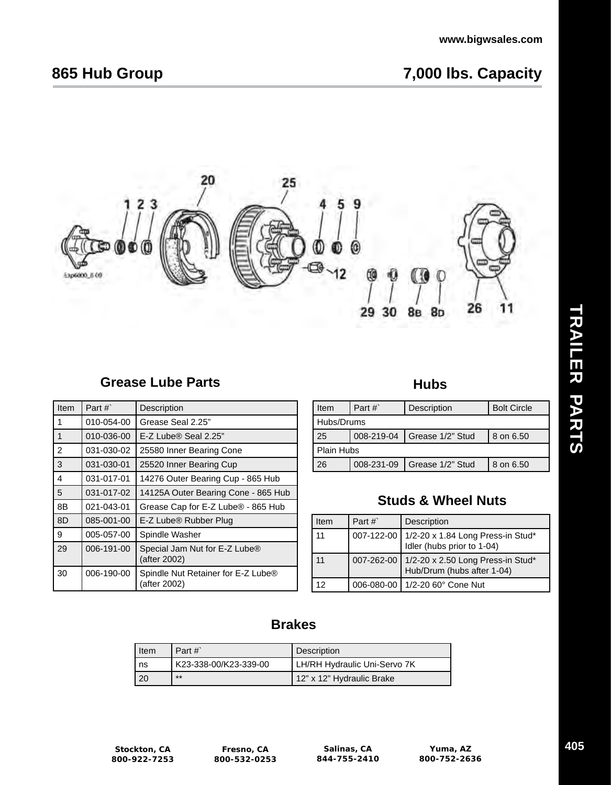# **865 Hub Group 7,000 lbs. Capacity**



# **Grease Lube Parts**

| Item | Part $#$   | Description                                                    |
|------|------------|----------------------------------------------------------------|
| 1    | 010-054-00 | Grease Seal 2.25"                                              |
| 1    | 010-036-00 | E-Z Lube® Seal 2.25"                                           |
| 2    | 031-030-02 | 25580 Inner Bearing Cone                                       |
| 3    | 031-030-01 | 25520 Inner Bearing Cup                                        |
| 4    | 031-017-01 | 14276 Outer Bearing Cup - 865 Hub                              |
| 5    | 031-017-02 | 14125A Outer Bearing Cone - 865 Hub                            |
| 8B   | 021-043-01 | Grease Cap for E-Z Lube <sup>®</sup> - 865 Hub                 |
| 8D   | 085-001-00 | E-Z Lube <sup>®</sup> Rubber Plug                              |
| 9    | 005-057-00 | Spindle Washer                                                 |
| 29   | 006-191-00 | Special Jam Nut for E-Z Lube <sup>®</sup><br>(after 2002)      |
| 30   | 006-190-00 | Spindle Nut Retainer for E-Z Lube <sup>®</sup><br>(after 2002) |

# **Hubs**

| Item              | Part $#$ | Description                   | <b>Bolt Circle</b> |
|-------------------|----------|-------------------------------|--------------------|
| Hubs/Drums        |          |                               |                    |
| 25                |          | 008-219-04   Grease 1/2" Stud | 8 on 6.50          |
| <b>Plain Hubs</b> |          |                               |                    |
| 26                |          | 008-231-09   Grease 1/2" Stud | 8 on 6.50          |

# **Studs & Wheel Nuts**

| Item | Part #` | Description                                                                |
|------|---------|----------------------------------------------------------------------------|
| 11   |         | 007-122-00 1/2-20 x 1.84 Long Press-in Stud*<br>Idler (hubs prior to 1-04) |
| 11   |         | 007-262-00 1/2-20 x 2.50 Long Press-in Stud*<br>Hub/Drum (hubs after 1-04) |
| 12   |         | 006-080-00   1/2-20 60° Cone Nut                                           |

# **Brakes**

| Item | Part $#$              | Description                  |
|------|-----------------------|------------------------------|
| ns   | K23-338-00/K23-339-00 | LH/RH Hydraulic Uni-Servo 7K |
| -20  | $**$                  | 12" x 12" Hydraulic Brake    |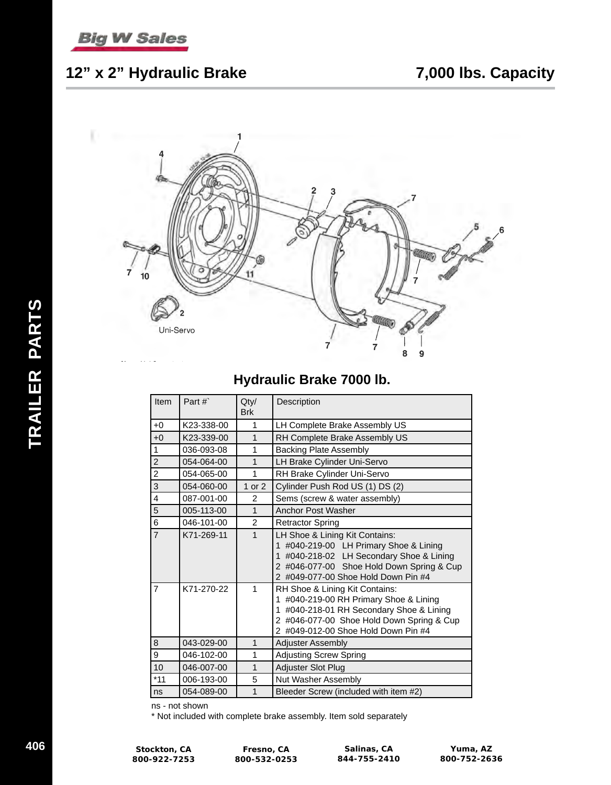

# **12" x 2" Hydraulic Brake 7,000 lbs. Capacity**



# **Hydraulic Brake 7000 lb.**

| Item             | Part#`     | Qty/<br><b>Brk</b> | Description                                                                                                                                                                                                            |
|------------------|------------|--------------------|------------------------------------------------------------------------------------------------------------------------------------------------------------------------------------------------------------------------|
| $+0$             | K23-338-00 | 1                  | LH Complete Brake Assembly US                                                                                                                                                                                          |
| $+0$             | K23-339-00 | 1                  | RH Complete Brake Assembly US                                                                                                                                                                                          |
| $\mathbf{1}$     | 036-093-08 | 1                  | <b>Backing Plate Assembly</b>                                                                                                                                                                                          |
| $\overline{2}$   | 054-064-00 | 1                  | LH Brake Cylinder Uni-Servo                                                                                                                                                                                            |
| $\overline{c}$   | 054-065-00 | 1                  | RH Brake Cylinder Uni-Servo                                                                                                                                                                                            |
| $\overline{3}$   | 054-060-00 | 1 or $2$           | Cylinder Push Rod US (1) DS (2)                                                                                                                                                                                        |
| $\overline{4}$   | 087-001-00 | $\mathfrak{p}$     | Sems (screw & water assembly)                                                                                                                                                                                          |
| $\overline{5}$   | 005-113-00 | 1                  | Anchor Post Washer                                                                                                                                                                                                     |
| $6\phantom{a}$   | 046-101-00 | $\mathfrak{p}$     | <b>Retractor Spring</b>                                                                                                                                                                                                |
| $\overline{7}$   | K71-269-11 | 1                  | LH Shoe & Lining Kit Contains:<br>1 #040-219-00 LH Primary Shoe & Lining<br>1 #040-218-02 LH Secondary Shoe & Lining<br>2 #046-077-00 Shoe Hold Down Spring & Cup<br>2 #049-077-00 Shoe Hold Down Pin #4               |
| $\overline{7}$   | K71-270-22 | 1                  | RH Shoe & Lining Kit Contains:<br>#040-219-00 RH Primary Shoe & Lining<br>$\mathbf{1}$<br>1 #040-218-01 RH Secondary Shoe & Lining<br>2 #046-077-00 Shoe Hold Down Spring & Cup<br>2 #049-012-00 Shoe Hold Down Pin #4 |
| $\,8\,$          | 043-029-00 | 1                  | <b>Adjuster Assembly</b>                                                                                                                                                                                               |
| $\boldsymbol{9}$ | 046-102-00 | 1                  | <b>Adjusting Screw Spring</b>                                                                                                                                                                                          |
| 10               | 046-007-00 | 1                  | Adjuster Slot Plug                                                                                                                                                                                                     |
| $*11$            | 006-193-00 | 5                  | Nut Washer Assembly                                                                                                                                                                                                    |
| ns               | 054-089-00 | 1                  | Bleeder Screw (included with item #2)                                                                                                                                                                                  |

ns - not shown

\* Not included with complete brake assembly. Item sold separately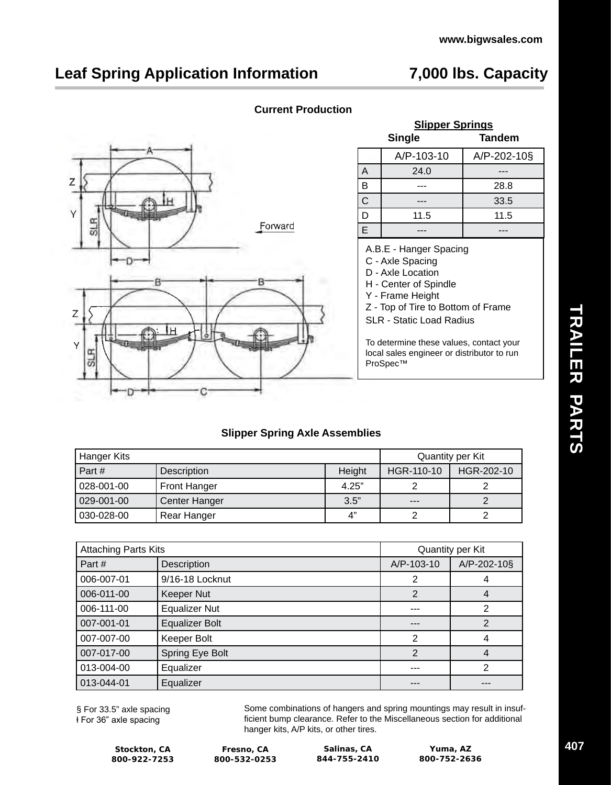# **Leaf Spring Application Information 7,000 lbs. Capacity**



| <b>Current Production</b> |
|---------------------------|
|                           |
|                           |

|              | <b>Single</b> | <b>Tandem</b> |
|--------------|---------------|---------------|
|              | A/P-103-10    | A/P-202-10§   |
| A            | 24.0          |               |
| B            |               | 28.8          |
| $\mathsf{C}$ |               | 33.5          |
| D            | 11.5          | 11.5          |
| F            |               |               |

**Slipper Springs** 

A.B.E - Hanger Spacing

- C Axle Spacing
- D Axle Location
- H Center of Spindle
- Y Frame Height
- Z Top of Tire to Bottom of Frame SLR - Static Load Radius

To determine these values, contact your local sales engineer or distributor to run ProSpec™

### **Slipper Spring Axle Assemblies**

| Hanger Kits |               |        | Quantity per Kit |            |  |
|-------------|---------------|--------|------------------|------------|--|
| Part#       | Description   | Height | HGR-110-10       | HGR-202-10 |  |
| 028-001-00  | Front Hanger  | 4.25"  |                  |            |  |
| 029-001-00  | Center Hanger | 3.5"   | $- - -$          |            |  |
| 030-028-00  | Rear Hanger   | 4"     |                  |            |  |

| <b>Attaching Parts Kits</b> |                       | Quantity per Kit |             |  |
|-----------------------------|-----------------------|------------------|-------------|--|
| Part #                      | Description           | A/P-103-10       | A/P-202-10§ |  |
| 006-007-01                  | 9/16-18 Locknut       | 2                |             |  |
| 006-011-00                  | Keeper Nut            | 2                | 4           |  |
| 006-111-00                  | <b>Equalizer Nut</b>  | ---              | 2           |  |
| 007-001-01                  | <b>Equalizer Bolt</b> | ---              | 2           |  |
| 007-007-00                  | Keeper Bolt           | 2                | 4           |  |
| 007-017-00                  | Spring Eye Bolt       | 2                | 4           |  |
| 013-004-00                  | Equalizer             | ---              | 2           |  |
| 013-044-01                  | Equalizer             |                  |             |  |

§ For 33.5" axle spacing ⱡ For 36" axle spacing

Some combinations of hangers and spring mountings may result in insufficient bump clearance. Refer to the Miscellaneous section for additional hanger kits, A/P kits, or other tires.

**Stockton, CA 800-922-7253**

**Fresno, CA 800-532-0253**

**Salinas, CA 844-755-2410**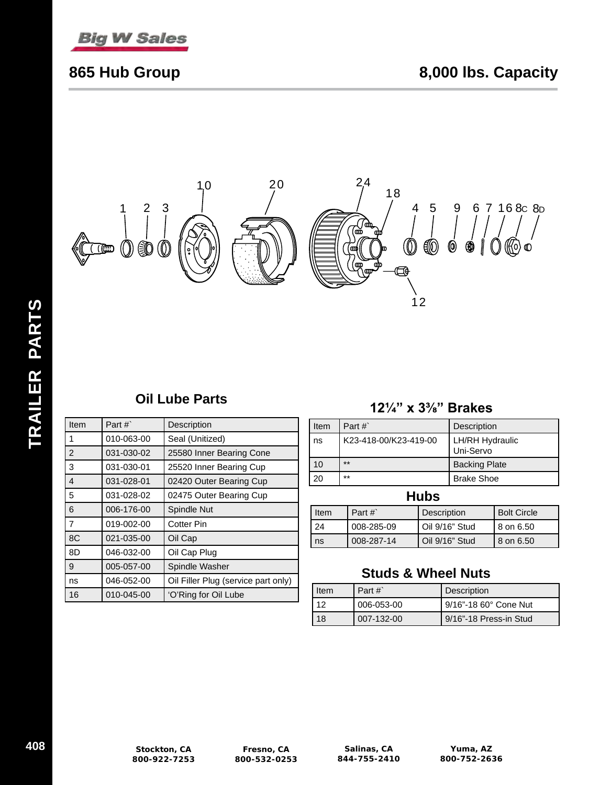



| Item           | Part $#$   | Description                         |
|----------------|------------|-------------------------------------|
| 1              | 010-063-00 | Seal (Unitized)                     |
| $\overline{2}$ | 031-030-02 | 25580 Inner Bearing Cone            |
| 3              | 031-030-01 | 25520 Inner Bearing Cup             |
| 4              | 031-028-01 | 02420 Outer Bearing Cup             |
| 5              | 031-028-02 | 02475 Outer Bearing Cup             |
| 6              | 006-176-00 | Spindle Nut                         |
| $\overline{7}$ | 019-002-00 | <b>Cotter Pin</b>                   |
| 8C             | 021-035-00 | Oil Cap                             |
| 8D             | 046-032-00 | Oil Cap Plug                        |
| 9              | 005-057-00 | Spindle Washer                      |
| ns             | 046-052-00 | Oil Filler Plug (service part only) |
| 16             | 010-045-00 | 'O'Ring for Oil Lube                |

# **Oil Lube Parts 121/4" x 33/8" Brakes**

| Item | Part $#$              | Description                         |
|------|-----------------------|-------------------------------------|
| ns   | K23-418-00/K23-419-00 | <b>LH/RH Hydraulic</b><br>Uni-Servo |
| 10   | $***$                 | <b>Backing Plate</b>                |
| 20   | $***$                 | <b>Brake Shoe</b>                   |
|      |                       |                                     |

## **Hubs**

| Item | Part $#$   | Description    | <b>Bolt Circle</b> |
|------|------------|----------------|--------------------|
| -24  | 008-285-09 | Oil 9/16" Stud | l 8 on 6.50        |
| ns   | 008-287-14 | Oil 9/16" Stud | l 8 on 6.50        |

# **Studs & Wheel Nuts**

| Item | Part $#$   | Description            |
|------|------------|------------------------|
| 12   | 006-053-00 | 9/16"-18 60° Cone Nut  |
| 18   | 007-132-00 | 9/16"-18 Press-in Stud |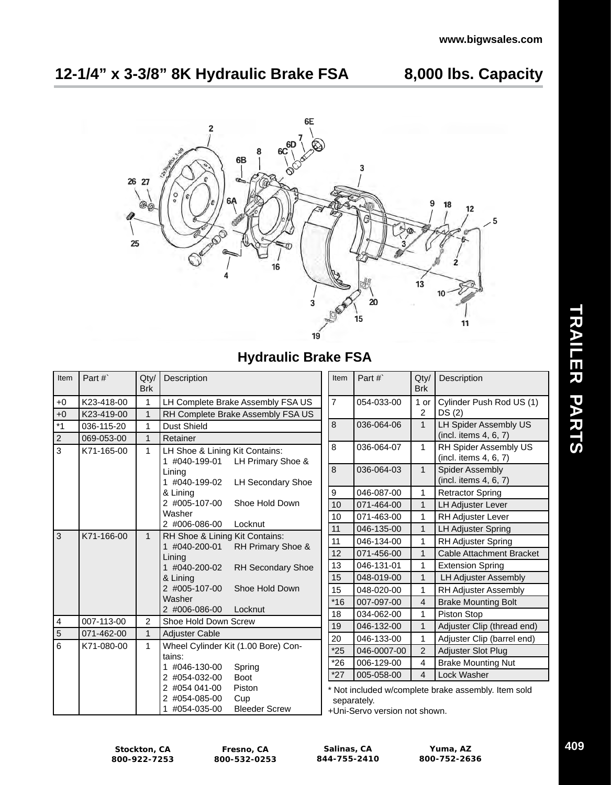# **12-1/4" x 3-3/8" 8K Hydraulic Brake FSA 8,000 lbs. Capacity**



# **Hydraulic Brake FSA**

| Item                             | Part#`     | Qty/<br><b>Brk</b> | Description                                                                            | Item                                                                                              | Part #`     | Qty/<br><b>Brk</b> | Description                                     |
|----------------------------------|------------|--------------------|----------------------------------------------------------------------------------------|---------------------------------------------------------------------------------------------------|-------------|--------------------|-------------------------------------------------|
| $+0$                             | K23-418-00 | $\mathbf 1$        | LH Complete Brake Assembly FSA US                                                      | $\overline{7}$                                                                                    | 054-033-00  | 1 or               | Cylinder Push Rod US (1)                        |
| $+0$                             | K23-419-00 | 1                  | RH Complete Brake Assembly FSA US                                                      |                                                                                                   |             | 2                  | DS(2)                                           |
| $*1$                             | 036-115-20 | $\mathbf 1$        | Dust Shield                                                                            | 8                                                                                                 | 036-064-06  | $\mathbf{1}$       | <b>LH Spider Assembly US</b>                    |
| $\overline{2}$                   | 069-053-00 | $\mathbf{1}$       | Retainer                                                                               |                                                                                                   |             |                    | (incl. items 4, 6, 7)                           |
| 3                                | K71-165-00 | $\mathbf{1}$       | LH Shoe & Lining Kit Contains:<br>LH Primary Shoe &<br>1 #040-199-01                   | 8                                                                                                 | 036-064-07  | $\mathbf{1}$       | RH Spider Assembly US<br>(incl. items 4, 6, 7)  |
|                                  |            |                    | Lining<br>1 #040-199-02<br><b>LH Secondary Shoe</b>                                    | 8                                                                                                 | 036-064-03  | $\mathbf{1}$       | <b>Spider Assembly</b><br>(incl. items 4, 6, 7) |
|                                  |            |                    | & Lining                                                                               | 9                                                                                                 | 046-087-00  | 1                  | <b>Retractor Spring</b>                         |
|                                  |            |                    | 2 #005-107-00<br>Shoe Hold Down                                                        | 10                                                                                                | 071-464-00  | $\mathbf{1}$       | <b>LH Adjuster Lever</b>                        |
|                                  |            |                    | Washer                                                                                 | 10                                                                                                | 071-463-00  | 1                  | RH Adjuster Lever                               |
|                                  |            |                    | 2 #006-086-00<br>Locknut                                                               | 11                                                                                                | 046-135-00  | $\mathbf{1}$       | <b>LH Adjuster Spring</b>                       |
| $\overline{3}$                   | K71-166-00 | $\mathbf{1}$       | RH Shoe & Lining Kit Contains:<br>RH Primary Shoe &<br>1 #040-200-01                   | 11                                                                                                | 046-134-00  | 1                  | <b>RH Adjuster Spring</b>                       |
|                                  |            |                    | Lining                                                                                 | 12                                                                                                | 071-456-00  | $\mathbf{1}$       | <b>Cable Attachment Bracket</b>                 |
|                                  |            |                    | 1 #040-200-02<br>RH Secondary Shoe                                                     | 13                                                                                                | 046-131-01  | 1                  | <b>Extension Spring</b>                         |
|                                  |            |                    | & Lining                                                                               | 15                                                                                                | 048-019-00  | $\mathbf{1}$       | <b>LH Adjuster Assembly</b>                     |
|                                  |            |                    | 2 #005-107-00<br>Shoe Hold Down                                                        | 15                                                                                                | 048-020-00  | $\mathbf{1}$       | RH Adjuster Assembly                            |
|                                  |            |                    | Washer<br>2 #006-086-00<br>Locknut                                                     | $*16$                                                                                             | 007-097-00  | $\overline{4}$     | <b>Brake Mounting Bolt</b>                      |
|                                  |            |                    |                                                                                        | 18                                                                                                | 034-062-00  | 1                  | Piston Stop                                     |
| $\overline{4}$<br>$\overline{5}$ | 007-113-00 | $\overline{c}$     | Shoe Hold Down Screw                                                                   | 19                                                                                                | 046-132-00  | $\mathbf{1}$       | Adjuster Clip (thread end)                      |
|                                  | 071-462-00 | $\mathbf{1}$       | <b>Adjuster Cable</b>                                                                  | 20                                                                                                | 046-133-00  | 1                  | Adjuster Clip (barrel end)                      |
| 6                                | K71-080-00 | $\mathbf{1}$       | Wheel Cylinder Kit (1.00 Bore) Con-<br>tains:                                          | $*25$                                                                                             | 046-0007-00 | 2                  | Adjuster Slot Plug                              |
|                                  |            |                    | 1 #046-130-00<br>Spring                                                                | $*26$                                                                                             | 006-129-00  | $\overline{4}$     | <b>Brake Mounting Nut</b>                       |
|                                  |            |                    | 2 #054-032-00<br><b>Boot</b>                                                           | $*27$                                                                                             | 005-058-00  | $\overline{4}$     | Lock Washer                                     |
|                                  |            |                    | 2 #054 041-00<br>Piston<br>2 #054-085-00<br>Cup<br><b>Bleeder Screw</b><br>#054-035-00 | Not included w/complete brake assembly. Item sold<br>separately.<br>+Uni-Servo version not shown. |             |                    |                                                 |

**Stockton, CA 800-922-7253**

**Fresno, CA 800-532-0253**

**Salinas, CA 844-755-2410**

**Yuma, AZ 800-752-2636**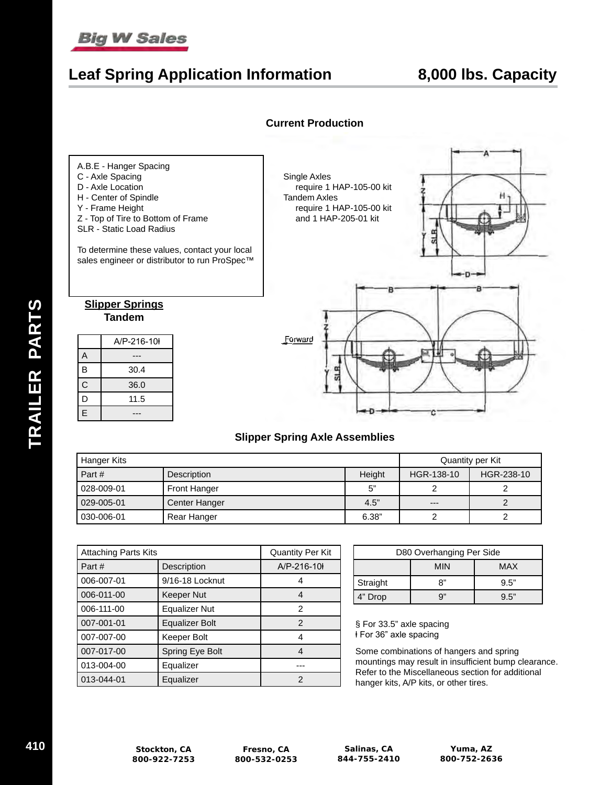# **Big W Sales**

# **Leaf Spring Application Information 8,000 lbs. Capacity**





### **Slipper Spring Axle Assemblies**

| Hanger Kits  |                      |        | Quantity per Kit |            |  |
|--------------|----------------------|--------|------------------|------------|--|
| Part#        | Description          | Height | HGR-138-10       | HGR-238-10 |  |
| l 028-009-01 | <b>Front Hanger</b>  | 5"     |                  |            |  |
| l 029-005-01 | <b>Center Hanger</b> | 4.5"   | $---$            |            |  |
| l 030-006-01 | Rear Hanger          | 6.38"  |                  |            |  |

| <b>Attaching Parts Kits</b> |                       | <b>Quantity Per Kit</b> |
|-----------------------------|-----------------------|-------------------------|
| Part#                       | Description           | A/P-216-10              |
| 006-007-01                  | 9/16-18 Locknut       |                         |
| 006-011-00                  | <b>Keeper Nut</b>     |                         |
| 006-111-00                  | <b>Equalizer Nut</b>  | 2                       |
| 007-001-01                  | <b>Equalizer Bolt</b> | 2                       |
| 007-007-00                  | Keeper Bolt           |                         |
| 007-017-00                  | Spring Eye Bolt       | 4                       |
| 013-004-00                  | Equalizer             |                         |
| 013-044-01                  | Equalizer             | 2                       |

| D80 Overhanging Per Side |            |      |  |  |  |
|--------------------------|------------|------|--|--|--|
|                          | MAX<br>MIN |      |  |  |  |
| Straight                 | יי פ       | 9.5" |  |  |  |
| 4" Drop                  | a"         | 9.5" |  |  |  |

§ For 33.5" axle spacing ⱡ For 36" axle spacing

Some combinations of hangers and spring mountings may result in insufficient bump clearance. Refer to the Miscellaneous section for additional hanger kits, A/P kits, or other tires.

**Fresno, CA 800-532-0253**

**Salinas, CA 844-755-2410**

**Yuma, AZ 800-752-2636**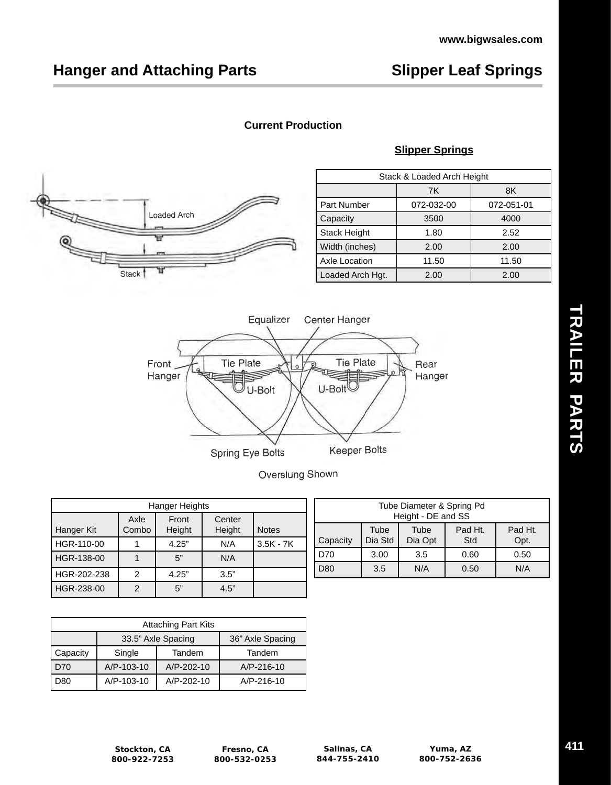## **Current Production**

### **Slipper Springs**



| Stack & Loaded Arch Height |            |            |  |  |
|----------------------------|------------|------------|--|--|
|                            | 7K<br>8K   |            |  |  |
| Part Number                | 072-032-00 | 072-051-01 |  |  |
| Capacity                   | 3500       | 4000       |  |  |
| <b>Stack Height</b>        | 1.80       | 2.52       |  |  |
| Width (inches)             | 2.00       | 2.00       |  |  |
| Axle Location              | 11.50      | 11.50      |  |  |
| Loaded Arch Hgt.           | 2.00       | 2.00       |  |  |



Overslung Shown

| Hanger Heights |               |                 |                  |              |  |
|----------------|---------------|-----------------|------------------|--------------|--|
| Hanger Kit     | Axle<br>Combo | Front<br>Height | Center<br>Height | <b>Notes</b> |  |
| HGR-110-00     |               | 4.25"           | N/A              | $3.5K - 7K$  |  |
| HGR-138-00     |               | 5"              | N/A              |              |  |
| HGR-202-238    | 2             | 4.25"           | 3.5"             |              |  |
| HGR-238-00     | 2             | 5"              | 4.5"             |              |  |

| Tube Diameter & Spring Pd<br>Height - DE and SS |                                                                         |  |  |  |  |  |  |
|-------------------------------------------------|-------------------------------------------------------------------------|--|--|--|--|--|--|
| Capacity                                        | Pad Ht.<br>Pad Ht.<br>Tube<br>Tube<br>Dia Std<br>Dia Opt<br>Std<br>Opt. |  |  |  |  |  |  |
| D70                                             | 3.00<br>3.5<br>0.60<br>0.50                                             |  |  |  |  |  |  |
| D80                                             | 3.5<br>N/A<br>N/A<br>0.50                                               |  |  |  |  |  |  |

| <b>Attaching Part Kits</b> |                                        |            |                  |  |  |
|----------------------------|----------------------------------------|------------|------------------|--|--|
|                            | 33.5" Axle Spacing<br>36" Axle Spacing |            |                  |  |  |
| Capacity                   | Single<br>Tandem                       |            | Tandem           |  |  |
| l D70                      | A/P-103-10                             | A/P-202-10 | A/P-216-10       |  |  |
| l D80                      | A/P-103-10                             | A/P-202-10 | $A/P - 216 - 10$ |  |  |

# TRAILER PARTS **TRAILER PARTS**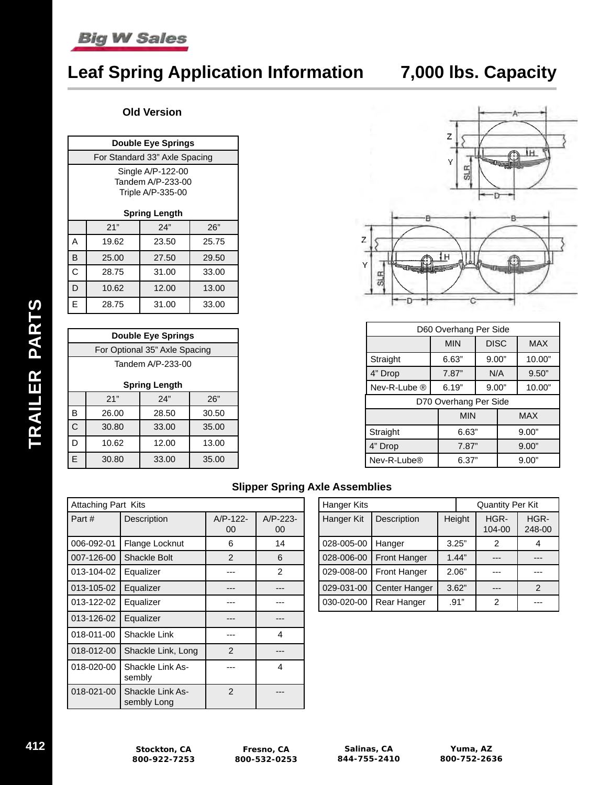# **Leaf Spring Application Information 7,000 lbs. Capacity**

### **Old Version**

| <b>Double Eye Springs</b>                                                           |                               |       |       |  |  |  |  |
|-------------------------------------------------------------------------------------|-------------------------------|-------|-------|--|--|--|--|
|                                                                                     | For Standard 33" Axle Spacing |       |       |  |  |  |  |
| Single A/P-122-00<br>Tandem A/P-233-00<br>Triple A/P-335-00<br><b>Spring Length</b> |                               |       |       |  |  |  |  |
|                                                                                     | 21"<br>24"<br>26"             |       |       |  |  |  |  |
| Α                                                                                   | 19.62                         | 23.50 | 25.75 |  |  |  |  |
| B                                                                                   | 25.00<br>29.50<br>27.50       |       |       |  |  |  |  |
| С                                                                                   | 28.75<br>31.00<br>33.00       |       |       |  |  |  |  |
| D<br>12.00<br>13.00<br>10.62                                                        |                               |       |       |  |  |  |  |
| E                                                                                   | 28.75                         | 31.00 | 33.00 |  |  |  |  |

| <b>Double Eye Springs</b>     |       |                   |       |  |  |
|-------------------------------|-------|-------------------|-------|--|--|
| For Optional 35" Axle Spacing |       |                   |       |  |  |
|                               |       | Tandem A/P-233-00 |       |  |  |
| <b>Spring Length</b>          |       |                   |       |  |  |
| 21"<br>24"<br>26"             |       |                   |       |  |  |
| В                             | 26.00 | 28.50             | 30.50 |  |  |
| C                             | 35.00 |                   |       |  |  |
| D<br>10.62<br>12.00<br>13.00  |       |                   |       |  |  |
| F                             | 30.80 | 33.00             | 35.00 |  |  |



| D60 Overhang Per Side |            |             |            |            |  |
|-----------------------|------------|-------------|------------|------------|--|
|                       | <b>MIN</b> | <b>DISC</b> |            | <b>MAX</b> |  |
| Straight              | 6.63"      | 9.00"       |            | 10.00"     |  |
| 4" Drop               | 7.87"      | N/A         |            | 9.50"      |  |
| Nev-R-Lube ®          | 6.19"      | 9.00"       |            | 10.00"     |  |
| D70 Overhang Per Side |            |             |            |            |  |
|                       | <b>MIN</b> |             | <b>MAX</b> |            |  |
| Straight              | 6.63"      |             | 9.00"      |            |  |
| 4" Drop               | 7.87"      |             | 9.00"      |            |  |
| Nev-R-Lube®<br>6.37"  |            | 9.00"       |            |            |  |

### **Slipper Spring Axle Assemblies**

| <b>Attaching Part Kits</b> |                                        |                  |                  |  |
|----------------------------|----------------------------------------|------------------|------------------|--|
| Part#                      | Description                            | $A/P-122-$<br>00 | $A/P-223-$<br>00 |  |
| 006-092-01                 | Flange Locknut                         | 6                | 14               |  |
| 007-126-00                 | <b>Shackle Bolt</b>                    | $\mathcal{P}$    | 6                |  |
| 013-104-02                 | Equalizer                              |                  | 2                |  |
| 013-105-02                 | Equalizer                              |                  |                  |  |
| 013-122-02                 | Equalizer                              |                  |                  |  |
| 013-126-02                 | Equalizer                              |                  |                  |  |
| 018-011-00                 | Shackle Link                           |                  | 4                |  |
| 018-012-00                 | Shackle Link, Long                     | $\mathcal{P}$    |                  |  |
| 018-020-00                 | Shackle Link As-<br>sembly             |                  | 4                |  |
| 018-021-00                 | <b>Shackle Link As-</b><br>sembly Long | $\mathfrak{p}$   |                  |  |

| Hanger Kits |                      |  |        | <b>Quantity Per Kit</b> |                |
|-------------|----------------------|--|--------|-------------------------|----------------|
| Hanger Kit  | Description          |  | Height | HGR-<br>104-00          | HGR-<br>248-00 |
| 028-005-00  | Hanger               |  | 3.25"  | 2                       | 4              |
| 028-006-00  | <b>Front Hanger</b>  |  | 1.44"  |                         |                |
| 029-008-00  | Front Hanger         |  | 2.06"  |                         |                |
| 029-031-00  | <b>Center Hanger</b> |  | 3.62"  | ---                     | 2              |
| 030-020-00  | <b>Rear Hanger</b>   |  | .91"   | 2                       |                |